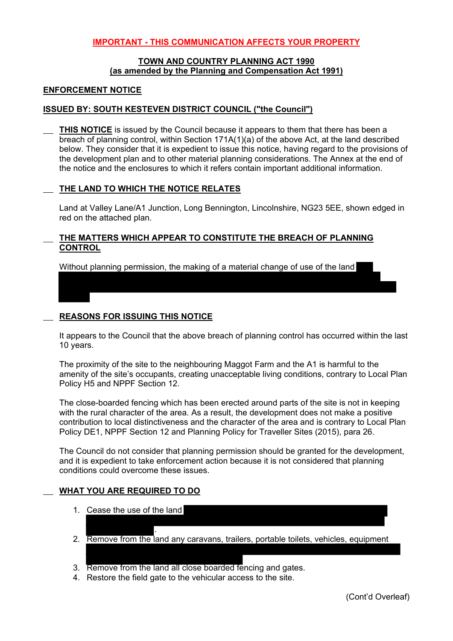## **IMPORTANT - THIS COMMUNICATION AFFECTS YOUR PROPERTY**

#### **TOWN AND COUNTRY PLANNING ACT 1990 (as amended by the Planning and Compensation Act 1991)**

#### **ENFORCEMENT NOTICE**

#### **ISSUED BY: SOUTH KESTEVEN DISTRICT COUNCIL ("the Council")**

**THIS NOTICE** is issued by the Council because it appears to them that there has been a breach of planning control, within Section 171A(1)(a) of the above Act, at the land described below. They consider that it is expedient to issue this notice, having regard to the provisions of the development plan and to other material planning considerations. The Annex at the end of the notice and the enclosures to which it refers contain important additional information.

#### **THE LAND TO WHICH THE NOTICE RELATES**

Land at Valley Lane/A1 Junction, Long Bennington, Lincolnshire, NG23 5EE, shown edged in red on the attached plan.

## **THE MATTERS WHICH APPEAR TO CONSTITUTE THE BREACH OF PLANNING CONTROL**

Without planning permission, the making of a material change of use of the land

#### **REASONS FOR ISSUING THIS NOTICE**

It appears to the Council that the above breach of planning control has occurred within the last 10 years.

The proximity of the site to the neighbouring Maggot Farm and the A1 is harmful to the amenity of the site's occupants, creating unacceptable living conditions, contrary to Local Plan Policy H5 and NPPF Section 12.

The close-boarded fencing which has been erected around parts of the site is not in keeping with the rural character of the area. As a result, the development does not make a positive contribution to local distinctiveness and the character of the area and is contrary to Local Plan Policy DE1, NPPF Section 12 and Planning Policy for Traveller Sites (2015), para 26.

The Council do not consider that planning permission should be granted for the development, and it is expedient to take enforcement action because it is not considered that planning conditions could overcome these issues.

## **WHAT YOU ARE REQUIRED TO DO**

- 1. Cease the use of the land
- . 2. Remove from the land any caravans, trailers, portable toilets, vehicles, equipment
- 3. Remove from the land all close boarded fencing and gates.
- 4. Restore the field gate to the vehicular access to the site.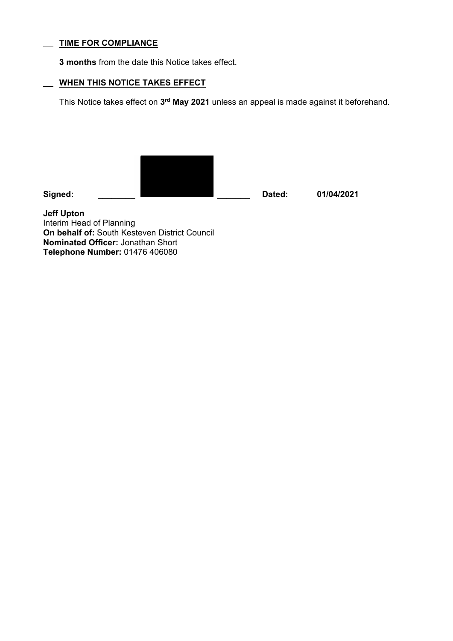## **TIME FOR COMPLIANCE**

**3 months** from the date this Notice takes effect.

# **WHEN THIS NOTICE TAKES EFFECT**

This Notice takes effect on **3rd May 2021** unless an appeal is made against it beforehand.

**Signed:** \_\_\_\_\_\_\_\_ \_\_\_\_\_\_\_ **Dated: 01/04/2021** 

**Jeff Upton**  Interim Head of Planning **On behalf of:** South Kesteven District Council **Nominated Officer:** Jonathan Short **Telephone Number:** 01476 406080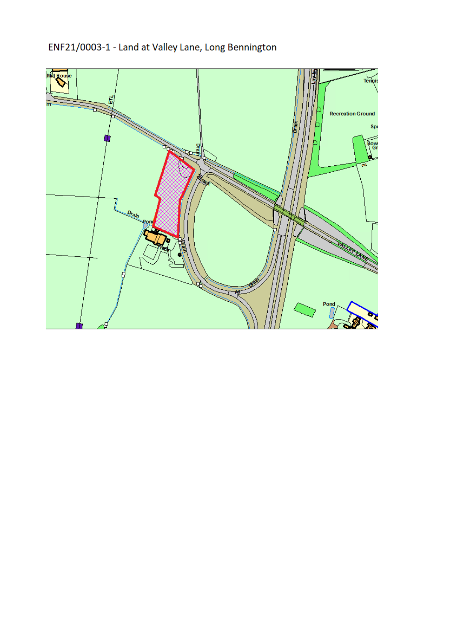# ENF21/0003-1 - Land at Valley Lane, Long Bennington